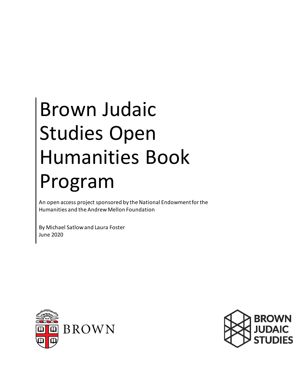# Brown Judaic Studies Open Humanities Book Program

An open access project sponsored by the National Endowment for the Humanities and the Andrew Mellon Foundation

By Michael Satlow and Laura Foster June 2020



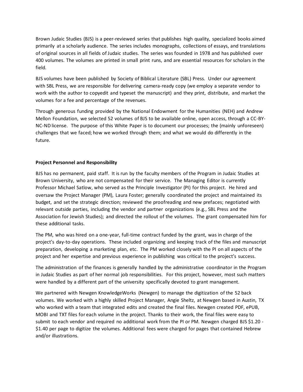Brown Judaic Studies (BJS) is a peer-reviewed series that publishes high quality, specialized books aimed primarily at a scholarly audience. The series includes monographs, collections of essays, and translations of original sources in all fields of Judaic studies. The series was founded in 1978 and has published over 400 volumes. The volumes are printed in small print runs, and are essential resources for scholars in the field.

BJS volumes have been published by Society of Biblical Literature (SBL) Press. Under our agreement with SBL Press, we are responsible for delivering camera-ready copy (we employ a separate vendor to work with the author to copyedit and typeset the manuscript) and they print, distribute, and market the volumes for a fee and percentage of the revenues.

Through generous funding provided by the National Endowment for the Humanities (NEH) and Andrew Mellon Foundation, we selected 52 volumes of BJS to be available online, open access, through a CC-BY-NC-ND license. The purpose of this White Paper is to document our processes; the (mainly unforeseen) challenges that we faced; how we worked through them; and what we would do differently in the future.

## **Project Personnel and Responsibility**

BJS has no permanent, paid staff. It is run by the faculty members of the Program in Judaic Studies at Brown University, who are not compensated for their service. The Managing Editor is currently Professor Michael Satlow, who served as the Principle Investigator (PI) for this project. He hired and oversaw the Project Manager (PM), Laura Foster; generally coordinated the project and maintained its budget, and set the strategic direction; reviewed the proofreading and new prefaces; negotiated with relevant outside parties, including the vendor and partner organizations (e.g., SBL Press and the Association for Jewish Studies); and directed the rollout of the volumes. The grant compensated him for these additional tasks.

The PM, who was hired on a one-year, full-time contract funded by the grant, was in charge of the project's day-to-day operations. These included organizing and keeping track of the files and manuscript preparation, developing a marketing plan, etc. The PM worked closely with the PI on all aspects of the project and her expertise and previous experience in publishing was critical to the project's success.

The administration of the finances is generally handled by the administrative coordinator in the Program in Judaic Studies as part of her normal job responsibilities. For this project, however, most such matters were handled by a different part of the university specifically devoted to grant management.

We partnered with Newgen KnowledgeWorks (Newgen) to manage the digitization of the 52 back volumes. We worked with a highly skilled Project Manager, Angie Sheltz, at Newgen based in Austin, TX who worked with a team that integrated edits and created the final files. Newgen created PDF, ePUB, MOBI and TXT files for each volume in the project. Thanks to their work, the final files were easy to submit to each vendor and required no additional work from the PI or PM. Newgen charged BJS \$1.20 -\$1.40 per page to digitize the volumes. Additional fees were charged for pages that contained Hebrew and/or illustrations.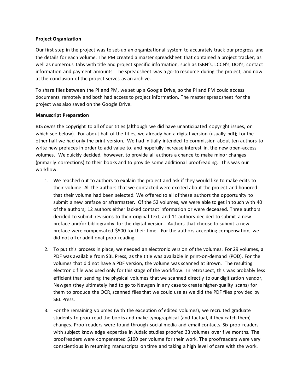## **Project Organization**

Our first step in the project was to set-up an organizational system to accurately track our progress and the details for each volume. The PM created a master spreadsheet that contained a project tracker, as well as numerous tabs with title and project specific information, such as ISBN's, LCCN's, DOI's, contact information and payment amounts. The spreadsheet was a go-to resource during the project, and now at the conclusion of the project serves as an archive.

To share files between the PI and PM, we set up a Google Drive, so the PI and PM could access documents remotely and both had access to project information. The master spreadsheet for the project was also saved on the Google Drive.

## **Manuscript Preparation**

BJS owns the copyright to all of our titles (although we did have unanticipated copyright issues, on which see below). For about half of the titles, we already had a digital version (usually pdf); for the other half we had only the print version. We had initially intended to commission about ten authors to write new prefaces in order to add value to, and hopefully increase interest in, the new open-access volumes. We quickly decided, however, to provide all authors a chance to make minor changes (primarily corrections) to their books and to provide some additional proofreading. This was our workflow:

- 1. We reached out to authors to explain the project and ask if they would like to make edits to their volume. All the authors that we contacted were excited about the project and honored that their volume had been selected. We offered to all of these authors the opportunity to submit a new preface or aftermatter. Of the 52 volumes, we were able to get in touch with 40 of the authors; 12 authors either lacked contact information or were deceased. Three authors decided to submit revisions to their original text; and 11 authors decided to submit a new preface and/or bibliography for the digital version. Authors that choose to submit a new preface were compensated \$500 for their time. For the authors accepting compensation, we did not offer additional proofreading.
- 2. To put this process in place, we needed an electronic version of the volumes. For 29 volumes, a PDF was available from SBL Press, as the title was available in print-on-demand (POD). For the volumes that did not have a PDF version, the volume was scanned at Brown. The resulting electronic file was used only for this stage of the workflow. In retrospect, this was probably less efficient than sending the physical volumes that we scanned directly to our digitization vendor, Newgen (they ultimately had to go to Newgen in any case to create higher-quality scans) for them to produce the OCR, scanned files that we could use as we did the PDF files provided by SBL Press.
- 3. For the remaining volumes (with the exception of edited volumes), we recruited graduate students to proofread the books and make typographical (and factual, if they catch them) changes. Proofreaders were found through social media and email contacts. Six proofreaders with subject knowledge expertise in Judaic studies proofed 33 volumes over five months. The proofreaders were compensated \$100 per volume for their work. The proofreaders were very conscientious in returning manuscripts on time and taking a high level of care with the work.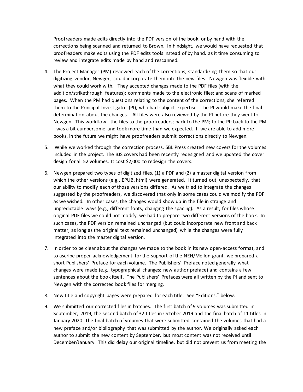Proofreaders made edits directly into the PDF version of the book, or by hand with the corrections being scanned and returned to Brown. In hindsight, we would have requested that proofreaders make edits using the PDF edits tools instead of by hand, as it time consuming to review and integrate edits made by hand and rescanned.

- 4. The Project Manager (PM) reviewed each of the corrections, standardizing them so that our digitizing vendor, Newgen, could incorporate them into the new files. Newgen was flexible with what they could work with. They accepted changes made to the PDF files (with the addition/strikethrough features); comments made to the electronic files; and scans of marked pages. When the PM had questions relating to the content of the corrections, she referred them to the Principal Investigator (PI), who had subject expertise. The PI would make the final determination about the changes. All files were also reviewed by the PI before they went to Newgen. This workflow - the files to the proofreaders; back to the PM; to the PI; back to the PM - was a bit cumbersome and took more time than we expected. If we are able to add more books, in the future we might have proofreaders submit corrections directly to Newgen.
- 5. While we worked through the correction process, SBL Press created new covers for the volumes included in the project. The BJS covers had been recently redesigned and we updated the cover design for all 52 volumes. It cost \$2,000 to redesign the covers.
- 6. Newgen prepared two types of digitized files, (1) a PDF and (2) a master digital version from which the other versions (e.g., EPUB, html) were generated. It turned out, unexpectedly, that our ability to modify each of those versions differed. As we tried to integrate the changes suggested by the proofreaders, we discovered that only in some cases could we modify the PDF as we wished. In other cases, the changes would show up in the file in strange and unpredictable ways (e.g., different fonts; changing the spacing). As a result, for files whose original PDF files we could not modify, we had to prepare two different versions of the book. In such cases, the PDF version remained unchanged (but could incorporate new front and back matter, as long as the original text remained unchanged) while the changes were fully integrated into the master digital version.
- 7. In order to be clear about the changes we made to the book in its new open-access format, and to ascribe proper acknowledgement for the support of the NEH/Mellon grant, we prepared a short Publishers' Preface for each volume. The Publishers' Preface noted generally what changes were made (e.g., typographical changes; new author preface) and contains a few sentences about the book itself. The Publishers' Prefaces were all written by the PI and sent to Newgen with the corrected book files for merging.
- 8. New title and copyright pages were prepared for each title. See "Editions," below.
- 9. We submitted our corrected files in batches. The first batch of 9 volumes was submitted in September, 2019, the second batch of 32 titles in October 2019 and the final batch of 11 titles in January 2020. The final batch of volumes that were submitted contained the volumes that had a new preface and/or bibliography that was submitted by the author. We originally asked each author to submit the new content by September, but most content was not received until December/January. This did delay our original timeline, but did not prevent us from meeting the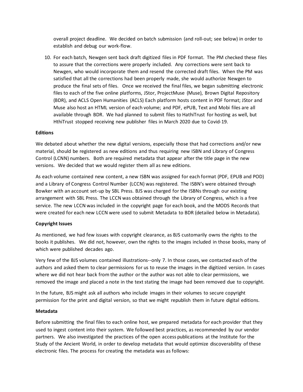overall project deadline. We decided on batch submission (and roll-out; see below) in order to establish and debug our work-flow.

10. For each batch, Newgen sent back draft digitized files in PDF format. The PM checked these files to assure that the corrections were properly included. Any corrections were sent back to Newgen, who would incorporate them and resend the corrected draft files. When the PM was satisfied that all the corrections had been properly made, she would authorize Newgen to produce the final sets of files. Once we received the final files, we began submitting electronic files to each of the five online platforms, JStor, ProjectMuse (Muse), Brown Digital Repository (BDR), and ACLS Open Humanities (ACLS) Each platform hosts content in PDF format; JStor and Muse also host an HTML version of each volume; and PDF, ePUB, Text and Mobi files are all available through BDR. We had planned to submit files to HathiTrust for hosting as well, but HthiTrust stopped receiving new publisher files in March 2020 due to Covid-19.

#### **Editions**

We debated about whether the new digital versions, especially those that had corrections and/or new material, should be registered as new editions and thus requiring new ISBN and Library of Congress Control (LCNN) numbers. Both are required metadata that appear after the title page in the new versions. We decided that we would register them all as new editions.

As each volume contained new content, a new ISBN was assigned for each format (PDF, EPUB and POD) and a Library of Congress Control Number (LCCN) was registered. The ISBN's were obtained through Bowker with an account set-up by SBL Press. BJS was charged for the ISBNs through our existing arrangement with SBL Press. The LCCN was obtained through the Library of Congress, which is a free service. The new LCCN was included in the copyright page for each book, and the MODS Records that were created for each new LCCN were used to submit Metadata to BDR (detailed below in Metadata).

# **Copyright Issues**

As mentioned, we had few issues with copyright clearance, as BJS customarily owns the rights to the books it publishes. We did not, however, own the rights to the images included in those books, many of which were published decades ago.

Very few of the BJS volumes contained illustrations--only 7. In those cases, we contacted each of the authors and asked them to clear permissions for us to reuse the images in the digitized version. In cases where we did not hear back from the author or the author was not able to clear permissions, we removed the image and placed a note in the text stating the image had been removed due to copyright.

In the future, BJS might ask all authors who include images in their volumes to secure copyright permission for the print and digital version, so that we might republish them in future digital editions.

#### **Metadata**

Before submitting the final files to each online host, we prepared metadata for each provider that they used to ingest content into their system. We followed best practices, as recommended by our vendor partners. We also investigated the practices of the open access publications at the Institute for the Study of the Ancient World, in order to develop metadata that would optimize discoverability of these electronic files. The process for creating the metadata was as follows: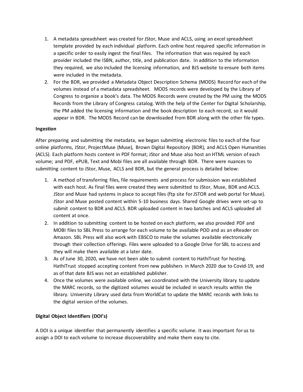- 1. A metadata spreadsheet was created for JStor, Muse and ACLS, using an excel spreadsheet template provided by each individual platform. Each online host required specific information in a specific order to easily ingest the final files. The information that was required by each provider included the ISBN, author, title, and publication date. In addition to the information they required, we also included the licensing information, and BJS website to ensure both items were included in the metadata.
- 2. For the BDR, we provided a Metadata Object Description Schema (MODS) Record for each of the volumes instead of a metadata spreadsheet. MODS records were developed by the Library of Congress to organize a book's data. The MODS Records were created by the PM using the MODS Records from the Library of Congress catalog. With the help of the Center for Digital Scholarship, the PM added the licensing information and the book description to each record, so it would appear in BDR. The MODS Record can be downloaded from BDR along with the other file types.

# **Ingestion**

After preparing and submitting the metadata, we began submitting electronic files to each of the four online platforms, JStor, ProjectMuse (Muse), Brown Digital Repository (BDR), and ACLS Open Humanities (ACLS). Each platform hosts content in PDF format; JStor and Muse also host an HTML version of each volume; and PDF, ePUB, Text and Mobi files are all available through BDR. There were nuances to submitting content to JStor, Muse, ACLS and BDR, but the general process is detailed below:

- 1. A method of transferring files, file requirements and process for submission was established with each host. As final files were created they were submitted to JStor, Muse, BDR and ACLS. JStor and Muse had systems in place to accept files (ftp site for JSTOR and web portal for Muse). JStor and Muse posted content within 5-10 business days. Shared Google drives were set-up to submit content to BDR and ACLS. BDR uploaded content in two batches and ACLS uploaded all content at once.
- 2. In addition to submitting content to be hosted on each platform, we also provided PDF and MOBI files to SBL Press to arrange for each volume to be available POD and as an eReader on Amazon. SBL Press will also work with EBSCO to make the volumes available electronically through their collection offerings. Files were uploaded to a Google Drive for SBL to access and they will make them available at a later date.
- 3. As of June 30, 2020, we have not been able to submit content to HathiTrust for hosting. HathiTrust stopped accepting content from new publishers in March 2020 due to Covid-19, and as of that date BJS was not an established publisher.
- 4. Once the volumes were available online, we coordinated with the University library to update the MARC records, so the digitized volumes would be included in search results within the library. University Library used data from WorldCat to update the MARC records with links to the digital version of the volumes.

# **Digital Object Identifiers (DOI's)**

A DOI is a unique identifier that permanently identifies a specific volume. It was important for us to assign a DOI to each volume to increase discoverability and make them easy to cite.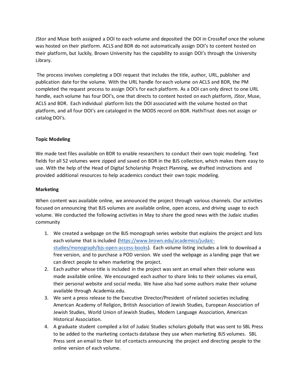JStor and Muse both assigned a DOI to each volume and deposited the DOI in CrossRef once the volume was hosted on their platform. ACLS and BDR do not automatically assign DOI's to content hosted on their platform, but luckily, Brown University has the capability to assign DOI's through the University Library.

The process involves completing a DOI request that includes the title, author, URL, publisher and publication date for the volume. With the URL handle for each volume on ACLS and BDR, the PM completed the request process to assign DOI's for each platform. As a DOI can only direct to one URL handle, each volume has four DOI's, one that directs to content hosted on each platform, JStor, Muse, ACLS and BDR. Each individual platform lists the DOI associated with the volume hosted on that platform, and all four DOI's are cataloged in the MODS record on BDR. HathiTrust does not assign or catalog DOI's.

# **Topic Modeling**

We made text files available on BDR to enable researchers to conduct their own topic modeling. Text fields for all 52 volumes were zipped and saved on BDR in the BJS collection, which makes them easy to use. With the help of the Head of Digital Scholarship Project Planning, we drafted instructions and provided additional resources to help academics conduct their own topic modeling.

## **Marketing**

When content was available online, we announced the project through various channels. Our activities focused on announcing that BJS volumes are available online, open access, and driving usage to each volume. We conducted the following activities in May to share the good news with the Judaic studies community

- 1. We created a webpage on the BJS monograph series website that explains the project and lists each volume that is included [\(https://www.brown.edu/academics/judaic](https://www.brown.edu/academics/judaic-studies/monograph/bjs-open-access-books)[studies/monograph/bjs-open-access-books\).](https://www.brown.edu/academics/judaic-studies/monograph/bjs-open-access-books) Each volume listing includes a link to download a free version, and to purchase a POD version. We used the webpage as a landing page that we can direct people to when marketing the project.
- 2. Each author whose title is included in the project was sent an email when their volume was made available online. We encouraged each author to share links to their volumes via email, their personal website and social media. We have also had some authors make their volume available through Academia.edu.
- 3. We sent a press release to the Executive Director/President of related societies including American Academy of Religion, British Association of Jewish Studies, European Association of Jewish Studies, World Union of Jewish Studies, Modern Language Association, American Historical Association.
- 4. A graduate student compiled a list of Judaic Studies scholars globally that was sent to SBL Press to be added to the marketing contacts database they use when marketing BJS volumes. SBL Press sent an email to their list of contacts announcing the project and directing people to the online version of each volume.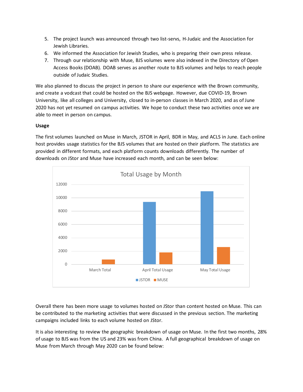- 5. The project launch was announced through two list-servs, H-Judaic and the Association for Jewish Libraries.
- 6. We informed the Association for Jewish Studies, who is preparing their own press release.
- 7. Through our relationship with Muse, BJS volumes were also indexed in the Directory of Open Access Books (DOAB). DOAB serves as another route to BJS volumes and helps to reach people outside of Judaic Studies.

We also planned to discuss the project in person to share our experience with the Brown community, and create a vodcast that could be hosted on the BJS webpage. However, due COVID-19, Brown University, like all colleges and University, closed to in-person classes in March 2020, and as of June 2020 has not yet resumed on campus activities. We hope to conduct these two activities once we are able to meet in person on campus.

# **Usage**

The first volumes launched on Muse in March, JSTOR in April, BDR in May, and ACLS in June. Each online host provides usage statistics for the BJS volumes that are hosted on their platform. The statistics are provided in different formats, and each platform counts downloads differently. The number of downloads on JStor and Muse have increased each month, and can be seen below:



Overall there has been more usage to volumes hosted on JStor than content hosted on Muse. This can be contributed to the marketing activities that were discussed in the previous section. The marketing campaigns included links to each volume hosted on JStor.

It is also interesting to review the geographic breakdown of usage on Muse. In the first two months, 28% of usage to BJS was from the US and 23% was from China. A full geographical breakdown of usage on Muse from March through May 2020 can be found below: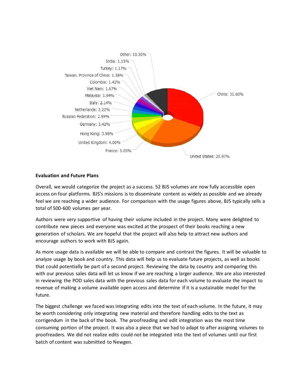

## **Evaluation and Future Plans**

Overall, we would categorize the project as a success. 52 BJS volumes are now fully accessible open access on four platforms. BJS's missions is to disseminate content as widely as possible and we already feel we are reaching a wider audience. For comparison with the usage figures above, BJS typically sells a total of 500-600 volumes per year.

Authors were very supportive of having their volume included in the project. Many were delighted to contribute new pieces and everyone was excited at the prospect of their books reaching a new generation of scholars. We are hopeful that the project will also help to attract new authors and encourage authors to work with BJS again.

As more usage data is available we will be able to compare and contrast the figures. It will be valuable to analyze usage by book and country. This data will help us to evaluate future projects, as well as books that could potentially be part of a second project. Reviewing the data by country and comparing this with our previous sales data will let us know if we are reaching a larger audience. We are also interested in reviewing the POD sales data with the previous sales data for each volume to evaluate the impact to revenue of making a volume available open access and determine if it is a sustainable model for the future.

The biggest challenge we faced was integrating edits into the text of each volume. In the future, it may be worth considering only integrating new material and therefore handling edits to the text as corrigendum in the back of the book. The proofreading and edit integration was the most time consuming portion of the project. It was also a piece that we had to adapt to after assigning volumes to proofreaders. We did not realize edits could not be integrated into the text of volumes until our first batch of content was submitted to Newgen.